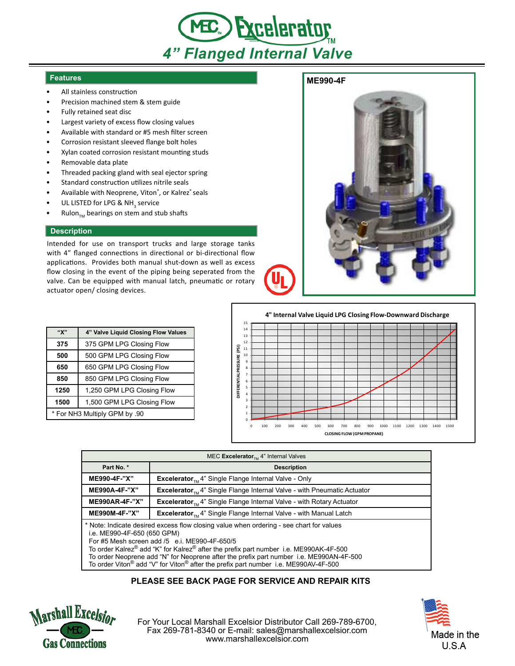

## **Features**

- All stainless construction
- Precision machined stem & stem guide
- Fully retained seat disc
- Largest variety of excess flow closing values
- Available with standard or #5 mesh filter screen
- Corrosion resistant sleeved flange bolt holes
- Xylan coated corrosion resistant mounting studs
- Removable data plate
- Threaded packing gland with seal ejector spring
- Standard construction utilizes nitrile seals
- Available with Neoprene, Viton®, or Kalrez® seals
- UL LISTED for LPG & NH<sub>3</sub> service
- Rulon $_{T_M}$  bearings on stem and stub shafts

## **Description**

Intended for use on transport trucks and large storage tanks with 4" flanged connections in directional or bi-directional flow applications. Provides both manual shut-down as well as excess flow closing in the event of the piping being seperated from the valve. Can be equipped with manual latch, pneumatic or rotary actuator open/ closing devices.

| "X"                           | 4" Valve Liquid Closing Flow Values |
|-------------------------------|-------------------------------------|
| 375                           | 375 GPM LPG Closing Flow            |
| 500                           | 500 GPM LPG Closing Flow            |
| 650                           | 650 GPM LPG Closing Flow            |
| 850                           | 850 GPM LPG Closing Flow            |
| 1250                          | 1,250 GPM LPG Closing Flow          |
| 1500                          | 1,500 GPM LPG Closing Flow          |
| * For NH3 Multiply GPM by .90 |                                     |



**4" Internal Valve Liquid LPG Closing Flow-Downward Discharge**



| MEC Excelerator <sub>TM</sub> 4" Internal Valves                                                                                                                                                                                                                                                                                                            |                                                                                            |  |
|-------------------------------------------------------------------------------------------------------------------------------------------------------------------------------------------------------------------------------------------------------------------------------------------------------------------------------------------------------------|--------------------------------------------------------------------------------------------|--|
| Part No. *                                                                                                                                                                                                                                                                                                                                                  | <b>Description</b>                                                                         |  |
| ME990-4F-"X"                                                                                                                                                                                                                                                                                                                                                | <b>Excelerator</b> <sub>n</sub> , 4" Single Flange Internal Valve - Only                   |  |
| ME990A-4F-"X"                                                                                                                                                                                                                                                                                                                                               | <b>Excelerator</b> <sub>TM</sub> 4" Single Flange Internal Valve - with Pneumatic Actuator |  |
| <b>ME990AR-4F-"X"</b>                                                                                                                                                                                                                                                                                                                                       | <b>Excelerator</b> <sub>TM</sub> 4" Single Flange Internal Valve - with Rotary Actuator    |  |
| ME990M-4F-"X"                                                                                                                                                                                                                                                                                                                                               | <b>Excelerator</b> <sub>TM</sub> 4" Single Flange Internal Valve - with Manual Latch       |  |
| * Note: Indicate desired excess flow closing value when ordering - see chart for values<br>i.e. ME990-4F-650 (650 GPM)<br>For #5 Mesh screen add /5 e.i. ME990-4F-650/5<br>To order Kalrez® add "K" for Kalrez® after the prefix part number i.e. ME990AK-4F-500<br>To order Neoprene add "N" for Neoprene after the prefix part number i.e. ME990AN-4F-500 |                                                                                            |  |

To order Viton® add "V" for Viton® after the prefix part number i.e. ME990AV-4F-500

## **PLEASE SEE BACK PAGE FOR SERVICE AND REPAIR KITS**



For Your Local Marshall Excelsior Distributor Call 269-789-6700, Fax 269-781-8340 or E-mail: sales@marshallexcelsior.com www.marshallexcelsior.com